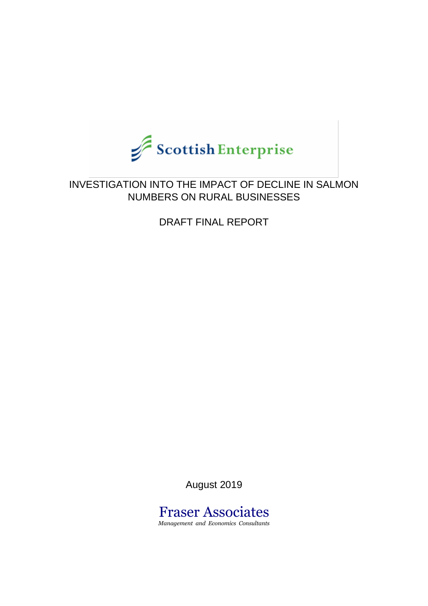

## INVESTIGATION INTO THE IMPACT OF DECLINE IN SALMON NUMBERS ON RURAL BUSINESSES

DRAFT FINAL REPORT

August 2019

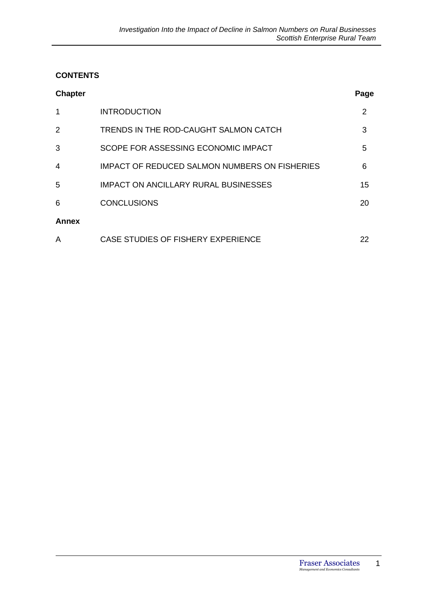### **CONTENTS**

| <b>Chapter</b> |                                                      | Page |
|----------------|------------------------------------------------------|------|
| 1              | <b>INTRODUCTION</b>                                  | 2    |
| 2              | TRENDS IN THE ROD-CAUGHT SALMON CATCH                | 3    |
| 3              | SCOPE FOR ASSESSING ECONOMIC IMPACT                  | 5    |
| $\overline{4}$ | <b>IMPACT OF REDUCED SALMON NUMBERS ON FISHERIES</b> | 6    |
| 5              | <b>IMPACT ON ANCILLARY RURAL BUSINESSES</b>          | 15   |
| 6              | <b>CONCLUSIONS</b>                                   | 20   |
| Annex          |                                                      |      |
| A              | CASE STUDIES OF FISHERY EXPERIENCE                   | 22   |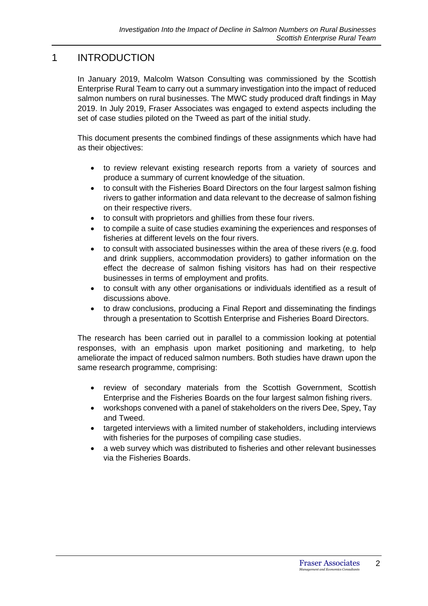## 1 INTRODUCTION

In January 2019, Malcolm Watson Consulting was commissioned by the Scottish Enterprise Rural Team to carry out a summary investigation into the impact of reduced salmon numbers on rural businesses. The MWC study produced draft findings in May 2019. In July 2019, Fraser Associates was engaged to extend aspects including the set of case studies piloted on the Tweed as part of the initial study.

This document presents the combined findings of these assignments which have had as their objectives:

- to review relevant existing research reports from a variety of sources and produce a summary of current knowledge of the situation.
- to consult with the Fisheries Board Directors on the four largest salmon fishing rivers to gather information and data relevant to the decrease of salmon fishing on their respective rivers.
- to consult with proprietors and ghillies from these four rivers.
- to compile a suite of case studies examining the experiences and responses of fisheries at different levels on the four rivers.
- to consult with associated businesses within the area of these rivers (e.g. food and drink suppliers, accommodation providers) to gather information on the effect the decrease of salmon fishing visitors has had on their respective businesses in terms of employment and profits.
- to consult with any other organisations or individuals identified as a result of discussions above.
- to draw conclusions, producing a Final Report and disseminating the findings through a presentation to Scottish Enterprise and Fisheries Board Directors.

The research has been carried out in parallel to a commission looking at potential responses, with an emphasis upon market positioning and marketing, to help ameliorate the impact of reduced salmon numbers. Both studies have drawn upon the same research programme, comprising:

- review of secondary materials from the Scottish Government, Scottish Enterprise and the Fisheries Boards on the four largest salmon fishing rivers.
- workshops convened with a panel of stakeholders on the rivers Dee, Spey, Tay and Tweed.
- targeted interviews with a limited number of stakeholders, including interviews with fisheries for the purposes of compiling case studies.
- a web survey which was distributed to fisheries and other relevant businesses via the Fisheries Boards.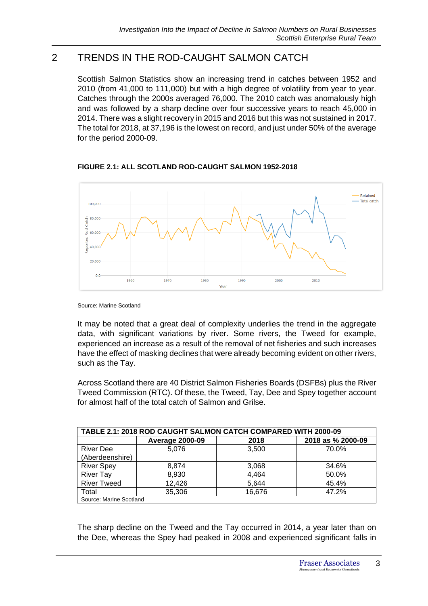## 2 TRENDS IN THE ROD-CAUGHT SALMON CATCH

Scottish Salmon Statistics show an increasing trend in catches between 1952 and 2010 (from 41,000 to 111,000) but with a high degree of volatility from year to year. Catches through the 2000s averaged 76,000. The 2010 catch was anomalously high and was followed by a sharp decline over four successive years to reach 45,000 in 2014. There was a slight recovery in 2015 and 2016 but this was not sustained in 2017. The total for 2018, at 37,196 is the lowest on record, and just under 50% of the average for the period 2000-09.



**FIGURE 2.1: ALL SCOTLAND ROD-CAUGHT SALMON 1952-2018**

Source: Marine Scotland

It may be noted that a great deal of complexity underlies the trend in the aggregate data, with significant variations by river. Some rivers, the Tweed for example, experienced an increase as a result of the removal of net fisheries and such increases have the effect of masking declines that were already becoming evident on other rivers, such as the Tay.

Across Scotland there are 40 District Salmon Fisheries Boards (DSFBs) plus the River Tweed Commission (RTC). Of these, the Tweed, Tay, Dee and Spey together account for almost half of the total catch of Salmon and Grilse.

| <b>TABLE 2.1: 2018 ROD CAUGHT SALMON CATCH COMPARED WITH 2000-09</b> |                        |        |                   |  |  |  |
|----------------------------------------------------------------------|------------------------|--------|-------------------|--|--|--|
|                                                                      | <b>Average 2000-09</b> | 2018   | 2018 as % 2000-09 |  |  |  |
| <b>River Dee</b><br>(Aberdeenshire)                                  | 5,076                  | 3,500  | 70.0%             |  |  |  |
| <b>River Spey</b>                                                    | 8,874                  | 3,068  | 34.6%             |  |  |  |
| <b>River Tay</b>                                                     | 8,930                  | 4,464  | 50.0%             |  |  |  |
| <b>River Tweed</b>                                                   | 12,426                 | 5,644  | 45.4%             |  |  |  |
| Total                                                                | 35,306                 | 16,676 | 47.2%             |  |  |  |
| Source: Marine Scotland                                              |                        |        |                   |  |  |  |

The sharp decline on the Tweed and the Tay occurred in 2014, a year later than on the Dee, whereas the Spey had peaked in 2008 and experienced significant falls in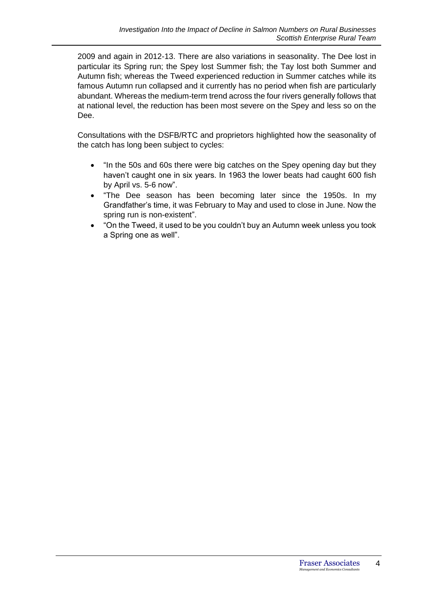2009 and again in 2012-13. There are also variations in seasonality. The Dee lost in particular its Spring run; the Spey lost Summer fish; the Tay lost both Summer and Autumn fish; whereas the Tweed experienced reduction in Summer catches while its famous Autumn run collapsed and it currently has no period when fish are particularly abundant. Whereas the medium-term trend across the four rivers generally follows that at national level, the reduction has been most severe on the Spey and less so on the Dee.

Consultations with the DSFB/RTC and proprietors highlighted how the seasonality of the catch has long been subject to cycles:

- "In the 50s and 60s there were big catches on the Spey opening day but they haven't caught one in six years. In 1963 the lower beats had caught 600 fish by April vs. 5-6 now".
- "The Dee season has been becoming later since the 1950s. In my Grandfather's time, it was February to May and used to close in June. Now the spring run is non-existent".
- "On the Tweed, it used to be you couldn't buy an Autumn week unless you took a Spring one as well".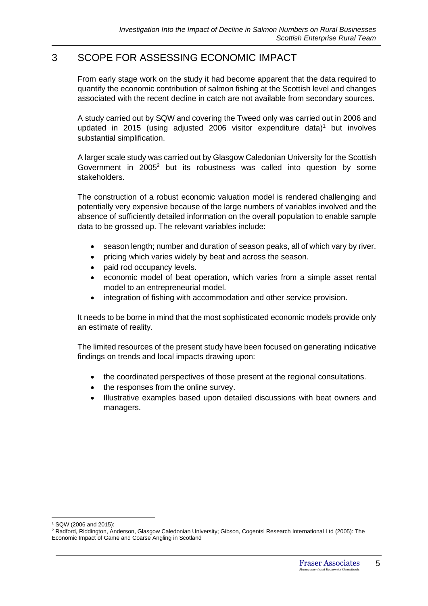## 3 SCOPE FOR ASSESSING ECONOMIC IMPACT

From early stage work on the study it had become apparent that the data required to quantify the economic contribution of salmon fishing at the Scottish level and changes associated with the recent decline in catch are not available from secondary sources.

A study carried out by SQW and covering the Tweed only was carried out in 2006 and updated in 2015 (using adjusted 2006 visitor expenditure data)<sup>1</sup> but involves substantial simplification.

A larger scale study was carried out by Glasgow Caledonian University for the Scottish Government in 2005<sup>2</sup> but its robustness was called into question by some stakeholders.

The construction of a robust economic valuation model is rendered challenging and potentially very expensive because of the large numbers of variables involved and the absence of sufficiently detailed information on the overall population to enable sample data to be grossed up. The relevant variables include:

- season length; number and duration of season peaks, all of which vary by river.
- pricing which varies widely by beat and across the season.
- paid rod occupancy levels.
- economic model of beat operation, which varies from a simple asset rental model to an entrepreneurial model.
- integration of fishing with accommodation and other service provision.

It needs to be borne in mind that the most sophisticated economic models provide only an estimate of reality.

The limited resources of the present study have been focused on generating indicative findings on trends and local impacts drawing upon:

- the coordinated perspectives of those present at the regional consultations.
- the responses from the online survey.
- Illustrative examples based upon detailed discussions with beat owners and managers.

<sup>1</sup> SQW (2006 and 2015):

<sup>&</sup>lt;sup>2</sup> Radford, Riddington, Anderson, Glasgow Caledonian University; Gibson, Cogentsi Research International Ltd (2005): The Economic Impact of Game and Coarse Angling in Scotland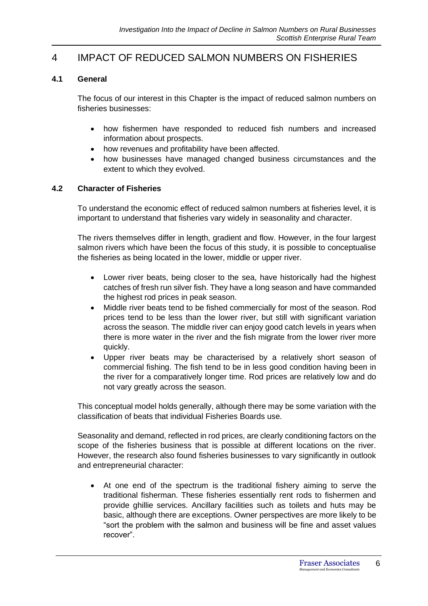## 4 IMPACT OF REDUCED SALMON NUMBERS ON FISHERIES

### **4.1 General**

The focus of our interest in this Chapter is the impact of reduced salmon numbers on fisheries businesses:

- how fishermen have responded to reduced fish numbers and increased information about prospects.
- how revenues and profitability have been affected.
- how businesses have managed changed business circumstances and the extent to which they evolved.

### **4.2 Character of Fisheries**

To understand the economic effect of reduced salmon numbers at fisheries level, it is important to understand that fisheries vary widely in seasonality and character.

The rivers themselves differ in length, gradient and flow. However, in the four largest salmon rivers which have been the focus of this study, it is possible to conceptualise the fisheries as being located in the lower, middle or upper river.

- Lower river beats, being closer to the sea, have historically had the highest catches of fresh run silver fish. They have a long season and have commanded the highest rod prices in peak season.
- Middle river beats tend to be fished commercially for most of the season. Rod prices tend to be less than the lower river, but still with significant variation across the season. The middle river can enjoy good catch levels in years when there is more water in the river and the fish migrate from the lower river more quickly.
- Upper river beats may be characterised by a relatively short season of commercial fishing. The fish tend to be in less good condition having been in the river for a comparatively longer time. Rod prices are relatively low and do not vary greatly across the season.

This conceptual model holds generally, although there may be some variation with the classification of beats that individual Fisheries Boards use.

Seasonality and demand, reflected in rod prices, are clearly conditioning factors on the scope of the fisheries business that is possible at different locations on the river. However, the research also found fisheries businesses to vary significantly in outlook and entrepreneurial character:

• At one end of the spectrum is the traditional fishery aiming to serve the traditional fisherman. These fisheries essentially rent rods to fishermen and provide ghillie services. Ancillary facilities such as toilets and huts may be basic, although there are exceptions. Owner perspectives are more likely to be "sort the problem with the salmon and business will be fine and asset values recover".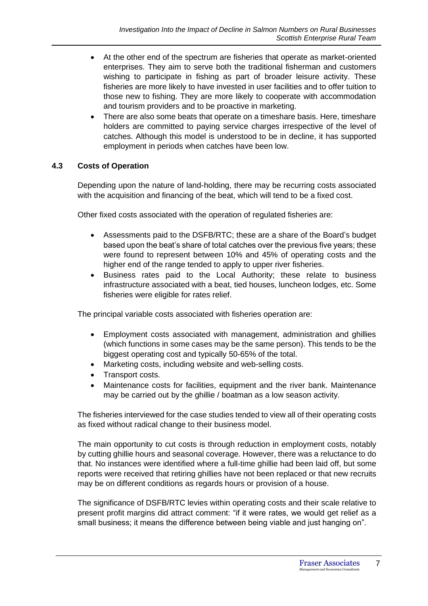- At the other end of the spectrum are fisheries that operate as market-oriented enterprises. They aim to serve both the traditional fisherman and customers wishing to participate in fishing as part of broader leisure activity. These fisheries are more likely to have invested in user facilities and to offer tuition to those new to fishing. They are more likely to cooperate with accommodation and tourism providers and to be proactive in marketing.
- There are also some beats that operate on a timeshare basis. Here, timeshare holders are committed to paying service charges irrespective of the level of catches. Although this model is understood to be in decline, it has supported employment in periods when catches have been low.

## **4.3 Costs of Operation**

Depending upon the nature of land-holding, there may be recurring costs associated with the acquisition and financing of the beat, which will tend to be a fixed cost.

Other fixed costs associated with the operation of regulated fisheries are:

- Assessments paid to the DSFB/RTC; these are a share of the Board's budget based upon the beat's share of total catches over the previous five years; these were found to represent between 10% and 45% of operating costs and the higher end of the range tended to apply to upper river fisheries.
- Business rates paid to the Local Authority; these relate to business infrastructure associated with a beat, tied houses, luncheon lodges, etc. Some fisheries were eligible for rates relief.

The principal variable costs associated with fisheries operation are:

- Employment costs associated with management, administration and ghillies (which functions in some cases may be the same person). This tends to be the biggest operating cost and typically 50-65% of the total.
- Marketing costs, including website and web-selling costs.
- Transport costs.
- Maintenance costs for facilities, equipment and the river bank. Maintenance may be carried out by the ghillie / boatman as a low season activity.

The fisheries interviewed for the case studies tended to view all of their operating costs as fixed without radical change to their business model.

The main opportunity to cut costs is through reduction in employment costs, notably by cutting ghillie hours and seasonal coverage. However, there was a reluctance to do that. No instances were identified where a full-time ghillie had been laid off, but some reports were received that retiring ghillies have not been replaced or that new recruits may be on different conditions as regards hours or provision of a house.

The significance of DSFB/RTC levies within operating costs and their scale relative to present profit margins did attract comment: "if it were rates, we would get relief as a small business; it means the difference between being viable and just hanging on".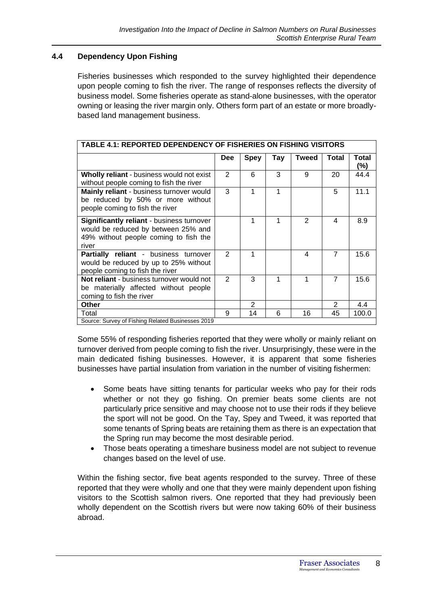### **4.4 Dependency Upon Fishing**

Fisheries businesses which responded to the survey highlighted their dependence upon people coming to fish the river. The range of responses reflects the diversity of business model. Some fisheries operate as stand-alone businesses, with the operator owning or leasing the river margin only. Others form part of an estate or more broadlybased land management business.

| <b>TABLE 4.1: REPORTED DEPENDENCY OF FISHERIES ON FISHING VISITORS</b>                                                             |               |                |     |               |                |              |
|------------------------------------------------------------------------------------------------------------------------------------|---------------|----------------|-----|---------------|----------------|--------------|
|                                                                                                                                    | <b>Dee</b>    | <b>Spey</b>    | Tay | <b>Tweed</b>  | Total          | Total<br>(%) |
| Wholly reliant - business would not exist<br>without people coming to fish the river                                               | 2             | 6              | 3   | 9             | 20             | 44.4         |
| Mainly reliant - business turnover would<br>be reduced by 50% or more without<br>people coming to fish the river                   | 3             | 1              | 1   |               | 5              | 11.1         |
| Significantly reliant - business turnover<br>would be reduced by between 25% and<br>49% without people coming to fish the<br>river |               | 1              | 1   | $\mathcal{P}$ | 4              | 8.9          |
| Partially reliant - business turnover<br>would be reduced by up to 25% without<br>people coming to fish the river                  | $\mathcal{P}$ |                |     | 4             | $\overline{7}$ | 15.6         |
| Not reliant - business turnover would not<br>be materially affected without people<br>coming to fish the river                     | $\mathcal{P}$ | 3              | 1   | 1             | $\overline{7}$ | 15.6         |
| <b>Other</b>                                                                                                                       |               | $\overline{2}$ |     |               | 2              | 4.4          |
| Total                                                                                                                              | 9             | 14             | 6   | 16            | 45             | 100.0        |
| Source: Survey of Fishing Related Businesses 2019                                                                                  |               |                |     |               |                |              |

Some 55% of responding fisheries reported that they were wholly or mainly reliant on turnover derived from people coming to fish the river. Unsurprisingly, these were in the main dedicated fishing businesses. However, it is apparent that some fisheries businesses have partial insulation from variation in the number of visiting fishermen:

- Some beats have sitting tenants for particular weeks who pay for their rods whether or not they go fishing. On premier beats some clients are not particularly price sensitive and may choose not to use their rods if they believe the sport will not be good. On the Tay, Spey and Tweed, it was reported that some tenants of Spring beats are retaining them as there is an expectation that the Spring run may become the most desirable period.
- Those beats operating a timeshare business model are not subject to revenue changes based on the level of use.

Within the fishing sector, five beat agents responded to the survey. Three of these reported that they were wholly and one that they were mainly dependent upon fishing visitors to the Scottish salmon rivers. One reported that they had previously been wholly dependent on the Scottish rivers but were now taking 60% of their business abroad.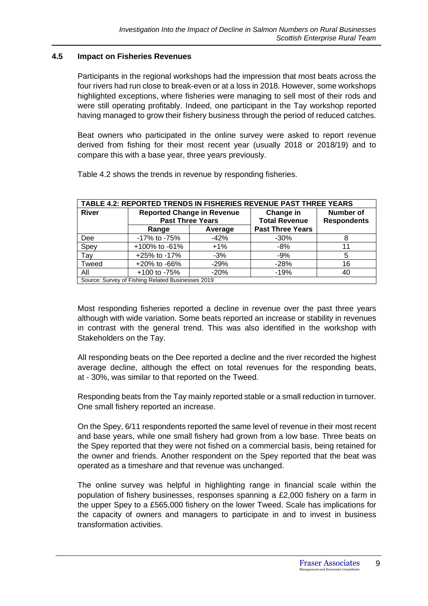### **4.5 Impact on Fisheries Revenues**

Participants in the regional workshops had the impression that most beats across the four rivers had run close to break-even or at a loss in 2018. However, some workshops highlighted exceptions, where fisheries were managing to sell most of their rods and were still operating profitably. Indeed, one participant in the Tay workshop reported having managed to grow their fishery business through the period of reduced catches.

Beat owners who participated in the online survey were asked to report revenue derived from fishing for their most recent year (usually 2018 or 2018/19) and to compare this with a base year, three years previously.

Table 4.2 shows the trends in revenue by responding fisheries.

| TABLE 4.2: REPORTED TRENDS IN FISHERIES REVENUE PAST THREE YEARS |                                                              |         |                                   |                                        |  |  |  |
|------------------------------------------------------------------|--------------------------------------------------------------|---------|-----------------------------------|----------------------------------------|--|--|--|
| <b>River</b>                                                     | <b>Reported Change in Revenue</b><br><b>Past Three Years</b> |         | Change in<br><b>Total Revenue</b> | <b>Number of</b><br><b>Respondents</b> |  |  |  |
|                                                                  | Range                                                        | Average | <b>Past Three Years</b>           |                                        |  |  |  |
| Dee                                                              | -17% to -75%                                                 | $-42%$  | $-30\%$                           |                                        |  |  |  |
| Spey                                                             | $+100\%$ to $-61\%$                                          | $+1\%$  | -8%                               |                                        |  |  |  |
| Tay                                                              | $+25\%$ to $-17\%$                                           | $-3%$   | $-9%$                             | 5                                      |  |  |  |
| Tweed                                                            | $+20\%$ to $-66\%$                                           | $-29%$  | $-28%$                            | 16                                     |  |  |  |
| All                                                              | +100 to -75%                                                 | $-20%$  | $-19%$                            | 40                                     |  |  |  |
| Course: Cuniou of Fishing Polated Puninessee 2010                |                                                              |         |                                   |                                        |  |  |  |

Source: Survey of Fishing Related Businesses 2019

Most responding fisheries reported a decline in revenue over the past three years although with wide variation. Some beats reported an increase or stability in revenues in contrast with the general trend. This was also identified in the workshop with Stakeholders on the Tay.

All responding beats on the Dee reported a decline and the river recorded the highest average decline, although the effect on total revenues for the responding beats, at - 30%, was similar to that reported on the Tweed.

Responding beats from the Tay mainly reported stable or a small reduction in turnover. One small fishery reported an increase.

On the Spey, 6/11 respondents reported the same level of revenue in their most recent and base years, while one small fishery had grown from a low base. Three beats on the Spey reported that they were not fished on a commercial basis, being retained for the owner and friends. Another respondent on the Spey reported that the beat was operated as a timeshare and that revenue was unchanged.

The online survey was helpful in highlighting range in financial scale within the population of fishery businesses, responses spanning a £2,000 fishery on a farm in the upper Spey to a £565,000 fishery on the lower Tweed. Scale has implications for the capacity of owners and managers to participate in and to invest in business transformation activities.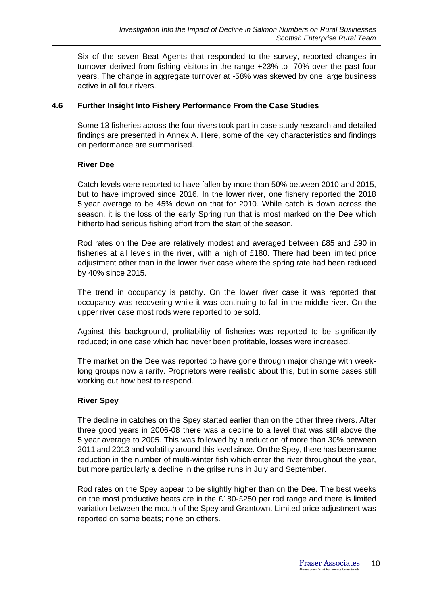Six of the seven Beat Agents that responded to the survey, reported changes in turnover derived from fishing visitors in the range +23% to -70% over the past four years. The change in aggregate turnover at -58% was skewed by one large business active in all four rivers.

### **4.6 Further Insight Into Fishery Performance From the Case Studies**

Some 13 fisheries across the four rivers took part in case study research and detailed findings are presented in Annex A. Here, some of the key characteristics and findings on performance are summarised.

### **River Dee**

Catch levels were reported to have fallen by more than 50% between 2010 and 2015, but to have improved since 2016. In the lower river, one fishery reported the 2018 5 year average to be 45% down on that for 2010. While catch is down across the season, it is the loss of the early Spring run that is most marked on the Dee which hitherto had serious fishing effort from the start of the season.

Rod rates on the Dee are relatively modest and averaged between £85 and £90 in fisheries at all levels in the river, with a high of £180. There had been limited price adjustment other than in the lower river case where the spring rate had been reduced by 40% since 2015.

The trend in occupancy is patchy. On the lower river case it was reported that occupancy was recovering while it was continuing to fall in the middle river. On the upper river case most rods were reported to be sold.

Against this background, profitability of fisheries was reported to be significantly reduced; in one case which had never been profitable, losses were increased.

The market on the Dee was reported to have gone through major change with weeklong groups now a rarity. Proprietors were realistic about this, but in some cases still working out how best to respond.

### **River Spey**

The decline in catches on the Spey started earlier than on the other three rivers. After three good years in 2006-08 there was a decline to a level that was still above the 5 year average to 2005. This was followed by a reduction of more than 30% between 2011 and 2013 and volatility around this level since. On the Spey, there has been some reduction in the number of multi-winter fish which enter the river throughout the year, but more particularly a decline in the grilse runs in July and September.

Rod rates on the Spey appear to be slightly higher than on the Dee. The best weeks on the most productive beats are in the £180-£250 per rod range and there is limited variation between the mouth of the Spey and Grantown. Limited price adjustment was reported on some beats; none on others.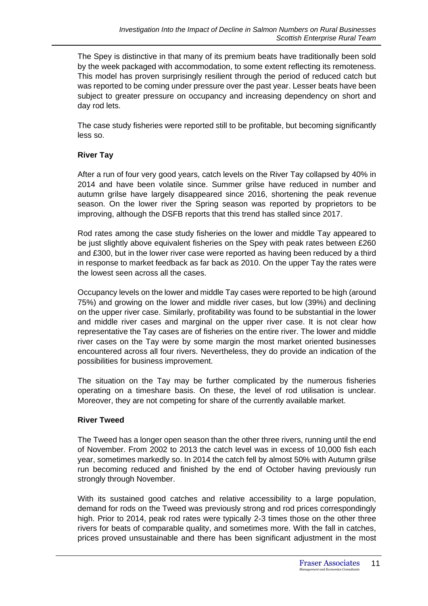The Spey is distinctive in that many of its premium beats have traditionally been sold by the week packaged with accommodation, to some extent reflecting its remoteness. This model has proven surprisingly resilient through the period of reduced catch but was reported to be coming under pressure over the past year. Lesser beats have been subject to greater pressure on occupancy and increasing dependency on short and day rod lets.

The case study fisheries were reported still to be profitable, but becoming significantly less so.

### **River Tay**

After a run of four very good years, catch levels on the River Tay collapsed by 40% in 2014 and have been volatile since. Summer grilse have reduced in number and autumn grilse have largely disappeared since 2016, shortening the peak revenue season. On the lower river the Spring season was reported by proprietors to be improving, although the DSFB reports that this trend has stalled since 2017.

Rod rates among the case study fisheries on the lower and middle Tay appeared to be just slightly above equivalent fisheries on the Spey with peak rates between £260 and £300, but in the lower river case were reported as having been reduced by a third in response to market feedback as far back as 2010. On the upper Tay the rates were the lowest seen across all the cases.

Occupancy levels on the lower and middle Tay cases were reported to be high (around 75%) and growing on the lower and middle river cases, but low (39%) and declining on the upper river case. Similarly, profitability was found to be substantial in the lower and middle river cases and marginal on the upper river case. It is not clear how representative the Tay cases are of fisheries on the entire river. The lower and middle river cases on the Tay were by some margin the most market oriented businesses encountered across all four rivers. Nevertheless, they do provide an indication of the possibilities for business improvement.

The situation on the Tay may be further complicated by the numerous fisheries operating on a timeshare basis. On these, the level of rod utilisation is unclear. Moreover, they are not competing for share of the currently available market.

### **River Tweed**

The Tweed has a longer open season than the other three rivers, running until the end of November. From 2002 to 2013 the catch level was in excess of 10,000 fish each year, sometimes markedly so. In 2014 the catch fell by almost 50% with Autumn grilse run becoming reduced and finished by the end of October having previously run strongly through November.

With its sustained good catches and relative accessibility to a large population, demand for rods on the Tweed was previously strong and rod prices correspondingly high. Prior to 2014, peak rod rates were typically 2-3 times those on the other three rivers for beats of comparable quality, and sometimes more. With the fall in catches, prices proved unsustainable and there has been significant adjustment in the most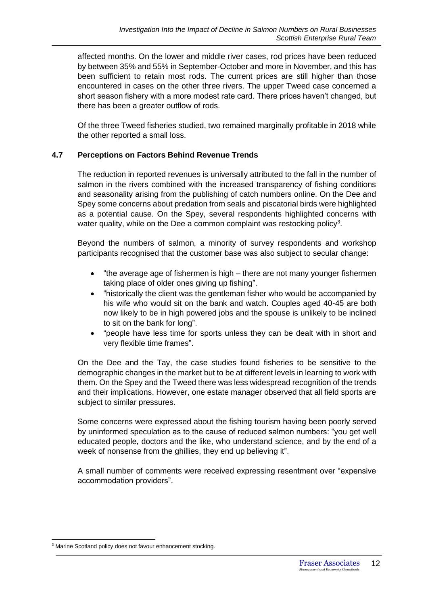affected months. On the lower and middle river cases, rod prices have been reduced by between 35% and 55% in September-October and more in November, and this has been sufficient to retain most rods. The current prices are still higher than those encountered in cases on the other three rivers. The upper Tweed case concerned a short season fishery with a more modest rate card. There prices haven't changed, but there has been a greater outflow of rods.

Of the three Tweed fisheries studied, two remained marginally profitable in 2018 while the other reported a small loss.

### **4.7 Perceptions on Factors Behind Revenue Trends**

The reduction in reported revenues is universally attributed to the fall in the number of salmon in the rivers combined with the increased transparency of fishing conditions and seasonality arising from the publishing of catch numbers online. On the Dee and Spey some concerns about predation from seals and piscatorial birds were highlighted as a potential cause. On the Spey, several respondents highlighted concerns with water quality, while on the Dee a common complaint was restocking policy<sup>3</sup>.

Beyond the numbers of salmon, a minority of survey respondents and workshop participants recognised that the customer base was also subject to secular change:

- "the average age of fishermen is high there are not many younger fishermen taking place of older ones giving up fishing".
- "historically the client was the gentleman fisher who would be accompanied by his wife who would sit on the bank and watch. Couples aged 40-45 are both now likely to be in high powered jobs and the spouse is unlikely to be inclined to sit on the bank for long".
- "people have less time for sports unless they can be dealt with in short and very flexible time frames".

On the Dee and the Tay, the case studies found fisheries to be sensitive to the demographic changes in the market but to be at different levels in learning to work with them. On the Spey and the Tweed there was less widespread recognition of the trends and their implications. However, one estate manager observed that all field sports are subject to similar pressures.

Some concerns were expressed about the fishing tourism having been poorly served by uninformed speculation as to the cause of reduced salmon numbers: "you get well educated people, doctors and the like, who understand science, and by the end of a week of nonsense from the ghillies, they end up believing it".

A small number of comments were received expressing resentment over "expensive accommodation providers".

<sup>&</sup>lt;sup>3</sup> Marine Scotland policy does not favour enhancement stocking.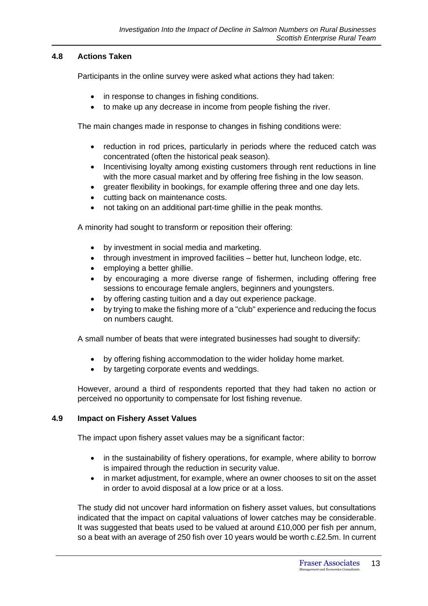### **4.8 Actions Taken**

Participants in the online survey were asked what actions they had taken:

- in response to changes in fishing conditions.
- to make up any decrease in income from people fishing the river.

The main changes made in response to changes in fishing conditions were:

- reduction in rod prices, particularly in periods where the reduced catch was concentrated (often the historical peak season).
- Incentivising loyalty among existing customers through rent reductions in line with the more casual market and by offering free fishing in the low season.
- greater flexibility in bookings, for example offering three and one day lets.
- cutting back on maintenance costs.
- not taking on an additional part-time ghillie in the peak months.

A minority had sought to transform or reposition their offering:

- by investment in social media and marketing.
- through investment in improved facilities better hut, luncheon lodge, etc.
- employing a better ghillie.
- by encouraging a more diverse range of fishermen, including offering free sessions to encourage female anglers, beginners and youngsters.
- by offering casting tuition and a day out experience package.
- by trying to make the fishing more of a "club" experience and reducing the focus on numbers caught.

A small number of beats that were integrated businesses had sought to diversify:

- by offering fishing accommodation to the wider holiday home market.
- by targeting corporate events and weddings.

However, around a third of respondents reported that they had taken no action or perceived no opportunity to compensate for lost fishing revenue.

#### **4.9 Impact on Fishery Asset Values**

The impact upon fishery asset values may be a significant factor:

- in the sustainability of fishery operations, for example, where ability to borrow is impaired through the reduction in security value.
- in market adjustment, for example, where an owner chooses to sit on the asset in order to avoid disposal at a low price or at a loss.

The study did not uncover hard information on fishery asset values, but consultations indicated that the impact on capital valuations of lower catches may be considerable. It was suggested that beats used to be valued at around £10,000 per fish per annum, so a beat with an average of 250 fish over 10 years would be worth c.£2.5m. In current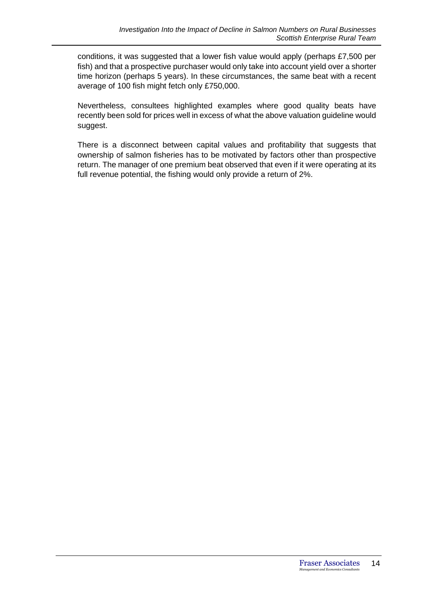conditions, it was suggested that a lower fish value would apply (perhaps £7,500 per fish) and that a prospective purchaser would only take into account yield over a shorter time horizon (perhaps 5 years). In these circumstances, the same beat with a recent average of 100 fish might fetch only £750,000.

Nevertheless, consultees highlighted examples where good quality beats have recently been sold for prices well in excess of what the above valuation guideline would suggest.

There is a disconnect between capital values and profitability that suggests that ownership of salmon fisheries has to be motivated by factors other than prospective return. The manager of one premium beat observed that even if it were operating at its full revenue potential, the fishing would only provide a return of 2%.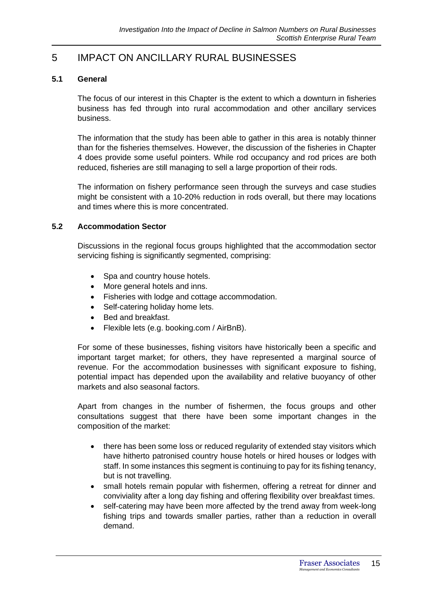# 5 IMPACT ON ANCILLARY RURAL BUSINESSES

### **5.1 General**

The focus of our interest in this Chapter is the extent to which a downturn in fisheries business has fed through into rural accommodation and other ancillary services business.

The information that the study has been able to gather in this area is notably thinner than for the fisheries themselves. However, the discussion of the fisheries in Chapter 4 does provide some useful pointers. While rod occupancy and rod prices are both reduced, fisheries are still managing to sell a large proportion of their rods.

The information on fishery performance seen through the surveys and case studies might be consistent with a 10-20% reduction in rods overall, but there may locations and times where this is more concentrated.

### **5.2 Accommodation Sector**

Discussions in the regional focus groups highlighted that the accommodation sector servicing fishing is significantly segmented, comprising:

- Spa and country house hotels.
- More general hotels and inns.
- Fisheries with lodge and cottage accommodation.
- Self-catering holiday home lets.
- Bed and breakfast.
- Flexible lets (e.g. booking.com / AirBnB).

For some of these businesses, fishing visitors have historically been a specific and important target market; for others, they have represented a marginal source of revenue. For the accommodation businesses with significant exposure to fishing, potential impact has depended upon the availability and relative buoyancy of other markets and also seasonal factors.

Apart from changes in the number of fishermen, the focus groups and other consultations suggest that there have been some important changes in the composition of the market:

- there has been some loss or reduced regularity of extended stay visitors which have hitherto patronised country house hotels or hired houses or lodges with staff. In some instances this segment is continuing to pay for its fishing tenancy, but is not travelling.
- small hotels remain popular with fishermen, offering a retreat for dinner and conviviality after a long day fishing and offering flexibility over breakfast times.
- self-catering may have been more affected by the trend away from week-long fishing trips and towards smaller parties, rather than a reduction in overall demand.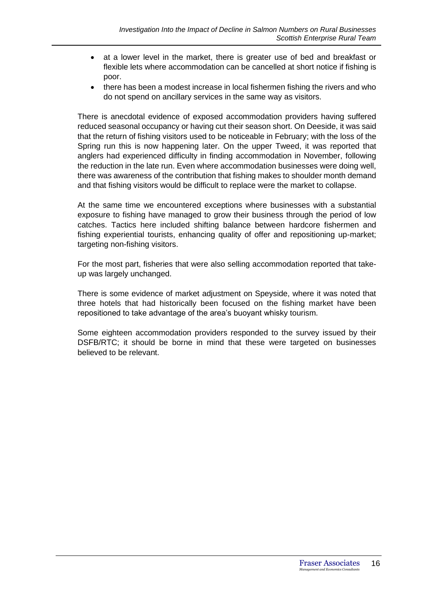- at a lower level in the market, there is greater use of bed and breakfast or flexible lets where accommodation can be cancelled at short notice if fishing is poor.
- there has been a modest increase in local fishermen fishing the rivers and who do not spend on ancillary services in the same way as visitors.

There is anecdotal evidence of exposed accommodation providers having suffered reduced seasonal occupancy or having cut their season short. On Deeside, it was said that the return of fishing visitors used to be noticeable in February; with the loss of the Spring run this is now happening later. On the upper Tweed, it was reported that anglers had experienced difficulty in finding accommodation in November, following the reduction in the late run. Even where accommodation businesses were doing well, there was awareness of the contribution that fishing makes to shoulder month demand and that fishing visitors would be difficult to replace were the market to collapse.

At the same time we encountered exceptions where businesses with a substantial exposure to fishing have managed to grow their business through the period of low catches. Tactics here included shifting balance between hardcore fishermen and fishing experiential tourists, enhancing quality of offer and repositioning up-market; targeting non-fishing visitors.

For the most part, fisheries that were also selling accommodation reported that takeup was largely unchanged.

There is some evidence of market adjustment on Speyside, where it was noted that three hotels that had historically been focused on the fishing market have been repositioned to take advantage of the area's buoyant whisky tourism.

Some eighteen accommodation providers responded to the survey issued by their DSFB/RTC; it should be borne in mind that these were targeted on businesses believed to be relevant.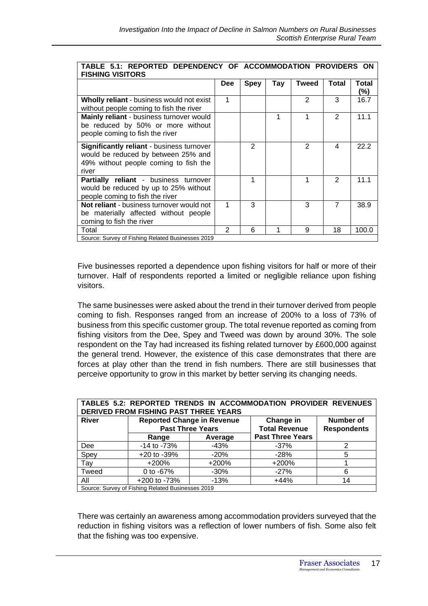| TABLE 5.1: REPORTED DEPENDENCY OF ACCOMMODATION PROVIDERS ON<br><b>FISHING VISITORS</b>                                                   |                |                |     |              |                |                     |
|-------------------------------------------------------------------------------------------------------------------------------------------|----------------|----------------|-----|--------------|----------------|---------------------|
|                                                                                                                                           | <b>Dee</b>     | <b>Spey</b>    | Tay | <b>Tweed</b> | Total          | <b>Total</b><br>(%) |
| Wholly reliant - business would not exist<br>without people coming to fish the river                                                      | 1              |                |     | 2            | 3              | 16.7                |
| Mainly reliant - business turnover would<br>be reduced by 50% or more without<br>people coming to fish the river                          |                |                |     | 1            | $\mathcal{P}$  | 11.1                |
| <b>Significantly reliant - business turnover</b><br>would be reduced by between 25% and<br>49% without people coming to fish the<br>river |                | $\overline{2}$ |     | 2            | 4              | 22.2                |
| Partially reliant - business turnover<br>would be reduced by up to 25% without<br>people coming to fish the river                         |                | 1              |     | 1            | $\mathcal{P}$  | 11.1                |
| Not reliant - business turnover would not<br>be materially affected without people<br>coming to fish the river                            | 1              | 3              |     | 3            | $\overline{7}$ | 38.9                |
| Total<br>Source: Survey of Fishing Related Businesses 2019                                                                                | $\mathfrak{p}$ | 6              |     | 9            | 18             | 100.0               |

Five businesses reported a dependence upon fishing visitors for half or more of their turnover. Half of respondents reported a limited or negligible reliance upon fishing visitors.

The same businesses were asked about the trend in their turnover derived from people coming to fish. Responses ranged from an increase of 200% to a loss of 73% of business from this specific customer group. The total revenue reported as coming from fishing visitors from the Dee, Spey and Tweed was down by around 30%. The sole respondent on the Tay had increased its fishing related turnover by £600,000 against the general trend. However, the existence of this case demonstrates that there are forces at play other than the trend in fish numbers. There are still businesses that perceive opportunity to grow in this market by better serving its changing needs.

| TABLE5 5.2: REPORTED TRENDS IN ACCOMMODATION PROVIDER REVENUES |                                                                       |         |                         |           |  |  |  |
|----------------------------------------------------------------|-----------------------------------------------------------------------|---------|-------------------------|-----------|--|--|--|
| <b>DERIVED FROM FISHING PAST THREE YEARS</b>                   |                                                                       |         |                         |           |  |  |  |
| <b>River</b>                                                   | <b>Reported Change in Revenue</b>                                     |         | Change in               | Number of |  |  |  |
|                                                                | <b>Past Three Years</b><br><b>Total Revenue</b><br><b>Respondents</b> |         |                         |           |  |  |  |
|                                                                | Range                                                                 | Average | <b>Past Three Years</b> |           |  |  |  |
| Dee                                                            | $-14$ to $-73%$                                                       | $-43%$  | $-37%$                  | 2         |  |  |  |
| Spey                                                           | $+20$ to $-39%$                                                       | $-20%$  | $-28%$                  | 5         |  |  |  |
| Tay                                                            | $+200\%$                                                              | $+200%$ | +200%                   |           |  |  |  |
| Tweed                                                          | 0 to $-67%$                                                           | $-30\%$ | $-27%$                  | 6         |  |  |  |
| All                                                            | $+200$ to $-73%$                                                      | $-13%$  | $+44%$                  | 14        |  |  |  |
| Source: Survey of Fishing Related Businesses 2019              |                                                                       |         |                         |           |  |  |  |

There was certainly an awareness among accommodation providers surveyed that the reduction in fishing visitors was a reflection of lower numbers of fish. Some also felt that the fishing was too expensive.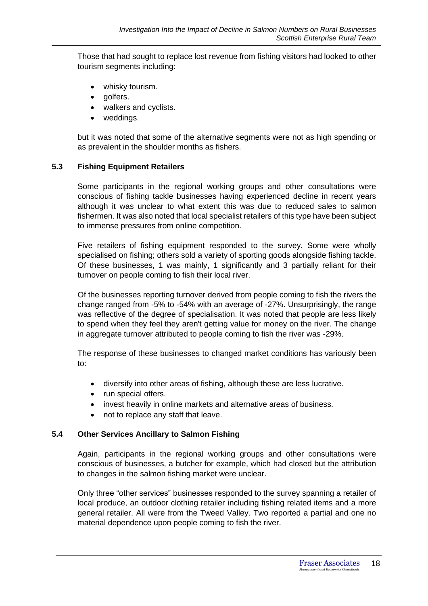Those that had sought to replace lost revenue from fishing visitors had looked to other tourism segments including:

- whisky tourism.
- golfers.
- walkers and cyclists.
- weddings.

but it was noted that some of the alternative segments were not as high spending or as prevalent in the shoulder months as fishers.

### **5.3 Fishing Equipment Retailers**

Some participants in the regional working groups and other consultations were conscious of fishing tackle businesses having experienced decline in recent years although it was unclear to what extent this was due to reduced sales to salmon fishermen. It was also noted that local specialist retailers of this type have been subject to immense pressures from online competition.

Five retailers of fishing equipment responded to the survey. Some were wholly specialised on fishing; others sold a variety of sporting goods alongside fishing tackle. Of these businesses, 1 was mainly, 1 significantly and 3 partially reliant for their turnover on people coming to fish their local river.

Of the businesses reporting turnover derived from people coming to fish the rivers the change ranged from -5% to -54% with an average of -27%. Unsurprisingly, the range was reflective of the degree of specialisation. It was noted that people are less likely to spend when they feel they aren't getting value for money on the river. The change in aggregate turnover attributed to people coming to fish the river was -29%.

The response of these businesses to changed market conditions has variously been to:

- diversify into other areas of fishing, although these are less lucrative.
- run special offers.
- invest heavily in online markets and alternative areas of business.
- not to replace any staff that leave.

### **5.4 Other Services Ancillary to Salmon Fishing**

Again, participants in the regional working groups and other consultations were conscious of businesses, a butcher for example, which had closed but the attribution to changes in the salmon fishing market were unclear.

Only three "other services" businesses responded to the survey spanning a retailer of local produce, an outdoor clothing retailer including fishing related items and a more general retailer. All were from the Tweed Valley. Two reported a partial and one no material dependence upon people coming to fish the river.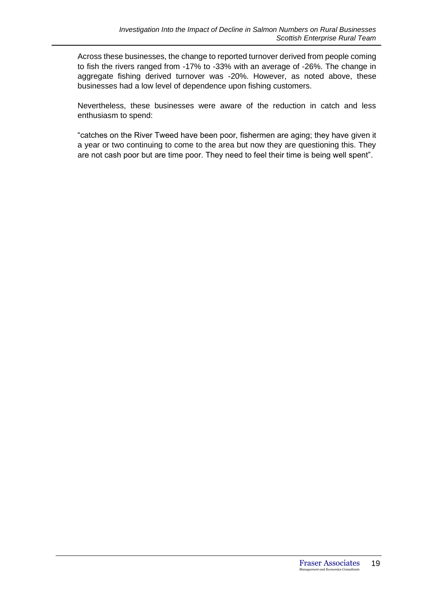Across these businesses, the change to reported turnover derived from people coming to fish the rivers ranged from -17% to -33% with an average of -26%. The change in aggregate fishing derived turnover was -20%. However, as noted above, these businesses had a low level of dependence upon fishing customers.

Nevertheless, these businesses were aware of the reduction in catch and less enthusiasm to spend:

"catches on the River Tweed have been poor, fishermen are aging; they have given it a year or two continuing to come to the area but now they are questioning this. They are not cash poor but are time poor. They need to feel their time is being well spent".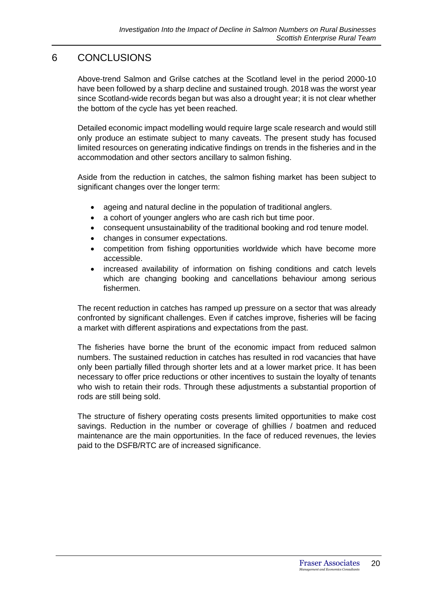## 6 CONCLUSIONS

Above-trend Salmon and Grilse catches at the Scotland level in the period 2000-10 have been followed by a sharp decline and sustained trough. 2018 was the worst year since Scotland-wide records began but was also a drought year; it is not clear whether the bottom of the cycle has yet been reached.

Detailed economic impact modelling would require large scale research and would still only produce an estimate subject to many caveats. The present study has focused limited resources on generating indicative findings on trends in the fisheries and in the accommodation and other sectors ancillary to salmon fishing.

Aside from the reduction in catches, the salmon fishing market has been subject to significant changes over the longer term:

- ageing and natural decline in the population of traditional anglers.
- a cohort of younger anglers who are cash rich but time poor.
- consequent unsustainability of the traditional booking and rod tenure model.
- changes in consumer expectations.
- competition from fishing opportunities worldwide which have become more accessible.
- increased availability of information on fishing conditions and catch levels which are changing booking and cancellations behaviour among serious fishermen.

The recent reduction in catches has ramped up pressure on a sector that was already confronted by significant challenges. Even if catches improve, fisheries will be facing a market with different aspirations and expectations from the past.

The fisheries have borne the brunt of the economic impact from reduced salmon numbers. The sustained reduction in catches has resulted in rod vacancies that have only been partially filled through shorter lets and at a lower market price. It has been necessary to offer price reductions or other incentives to sustain the loyalty of tenants who wish to retain their rods. Through these adjustments a substantial proportion of rods are still being sold.

The structure of fishery operating costs presents limited opportunities to make cost savings. Reduction in the number or coverage of ghillies / boatmen and reduced maintenance are the main opportunities. In the face of reduced revenues, the levies paid to the DSFB/RTC are of increased significance.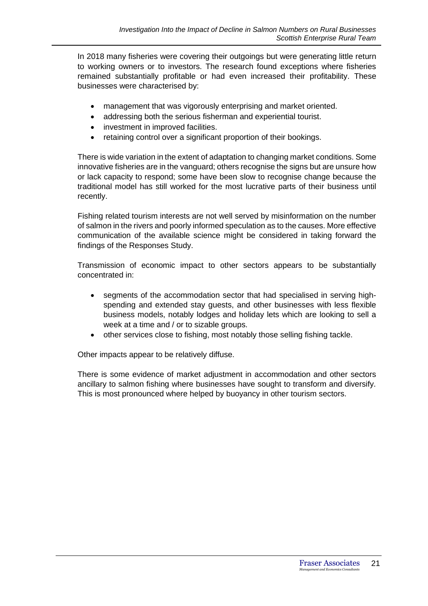In 2018 many fisheries were covering their outgoings but were generating little return to working owners or to investors. The research found exceptions where fisheries remained substantially profitable or had even increased their profitability. These businesses were characterised by:

- management that was vigorously enterprising and market oriented.
- addressing both the serious fisherman and experiential tourist.
- investment in improved facilities.
- retaining control over a significant proportion of their bookings.

There is wide variation in the extent of adaptation to changing market conditions. Some innovative fisheries are in the vanguard; others recognise the signs but are unsure how or lack capacity to respond; some have been slow to recognise change because the traditional model has still worked for the most lucrative parts of their business until recently.

Fishing related tourism interests are not well served by misinformation on the number of salmon in the rivers and poorly informed speculation as to the causes. More effective communication of the available science might be considered in taking forward the findings of the Responses Study.

Transmission of economic impact to other sectors appears to be substantially concentrated in:

- segments of the accommodation sector that had specialised in serving highspending and extended stay guests, and other businesses with less flexible business models, notably lodges and holiday lets which are looking to sell a week at a time and / or to sizable groups.
- other services close to fishing, most notably those selling fishing tackle.

Other impacts appear to be relatively diffuse.

There is some evidence of market adjustment in accommodation and other sectors ancillary to salmon fishing where businesses have sought to transform and diversify. This is most pronounced where helped by buoyancy in other tourism sectors.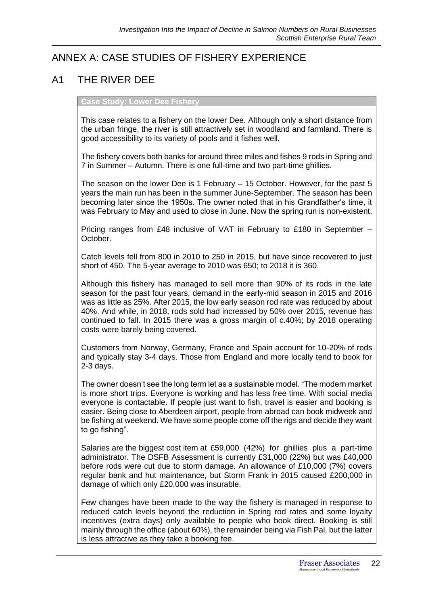# ANNEX A: CASE STUDIES OF FISHERY EXPERIENCE

# A1 THE RIVER DEE

**Case Study: Lower Dee Fishery**

This case relates to a fishery on the lower Dee. Although only a short distance from the urban fringe, the river is still attractively set in woodland and farmland. There is good accessibility to its variety of pools and it fishes well.

The fishery covers both banks for around three miles and fishes 9 rods in Spring and 7 in Summer – Autumn. There is one full-time and two part-time ghillies.

The season on the lower Dee is 1 February – 15 October. However, for the past 5 years the main run has been in the summer June-September. The season has been becoming later since the 1950s. The owner noted that in his Grandfather's time, it was February to May and used to close in June. Now the spring run is non-existent.

Pricing ranges from £48 inclusive of VAT in February to £180 in September – October.

Catch levels fell from 800 in 2010 to 250 in 2015, but have since recovered to just short of 450. The 5-year average to 2010 was 650; to 2018 it is 360.

Although this fishery has managed to sell more than 90% of its rods in the late season for the past four years, demand in the early-mid season in 2015 and 2016 was as little as 25%. After 2015, the low early season rod rate was reduced by about 40%. And while, in 2018, rods sold had increased by 50% over 2015, revenue has continued to fall. In 2015 there was a gross margin of c.40%; by 2018 operating costs were barely being covered.

Customers from Norway, Germany, France and Spain account for 10-20% of rods and typically stay 3-4 days. Those from England and more locally tend to book for 2-3 days.

The owner doesn't see the long term let as a sustainable model. "The modern market is more short trips. Everyone is working and has less free time. With social media everyone is contactable. If people just want to fish, travel is easier and booking is easier. Being close to Aberdeen airport, people from abroad can book midweek and be fishing at weekend. We have some people come off the rigs and decide they want to go fishing".

Salaries are the biggest cost item at £59,000 (42%) for ghillies plus a part-time administrator. The DSFB Assessment is currently £31,000 (22%) but was £40,000 before rods were cut due to storm damage. An allowance of £10,000 (7%) covers regular bank and hut maintenance, but Storm Frank in 2015 caused £200,000 in damage of which only £20,000 was insurable.

Few changes have been made to the way the fishery is managed in response to reduced catch levels beyond the reduction in Spring rod rates and some loyalty incentives (extra days) only available to people who book direct. Booking is still mainly through the office (about 60%), the remainder being via Fish Pal, but the latter is less attractive as they take a booking fee.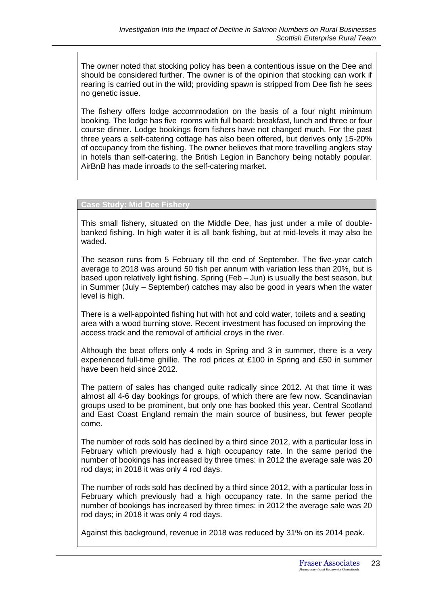The owner noted that stocking policy has been a contentious issue on the Dee and should be considered further. The owner is of the opinion that stocking can work if rearing is carried out in the wild; providing spawn is stripped from Dee fish he sees no genetic issue.

The fishery offers lodge accommodation on the basis of a four night minimum booking. The lodge has five rooms with full board: breakfast, lunch and three or four course dinner. Lodge bookings from fishers have not changed much. For the past three years a self-catering cottage has also been offered, but derives only 15-20% of occupancy from the fishing. The owner believes that more travelling anglers stay in hotels than self-catering, the British Legion in Banchory being notably popular. AirBnB has made inroads to the self-catering market.

#### **Case Study: Mid Dee Fishery**

This small fishery, situated on the Middle Dee, has just under a mile of doublebanked fishing. In high water it is all bank fishing, but at mid-levels it may also be waded.

The season runs from 5 February till the end of September. The five-year catch average to 2018 was around 50 fish per annum with variation less than 20%, but is based upon relatively light fishing. Spring (Feb – Jun) is usually the best season, but in Summer (July – September) catches may also be good in years when the water level is high.

There is a well-appointed fishing hut with hot and cold water, toilets and a seating area with a wood burning stove. Recent investment has focused on improving the access track and the removal of artificial croys in the river.

Although the beat offers only 4 rods in Spring and 3 in summer, there is a very experienced full-time ghillie. The rod prices at £100 in Spring and £50 in summer have been held since 2012.

The pattern of sales has changed quite radically since 2012. At that time it was almost all 4-6 day bookings for groups, of which there are few now. Scandinavian groups used to be prominent, but only one has booked this year. Central Scotland and East Coast England remain the main source of business, but fewer people come.

The number of rods sold has declined by a third since 2012, with a particular loss in February which previously had a high occupancy rate. In the same period the number of bookings has increased by three times: in 2012 the average sale was 20 rod days; in 2018 it was only 4 rod days.

The number of rods sold has declined by a third since 2012, with a particular loss in February which previously had a high occupancy rate. In the same period the number of bookings has increased by three times: in 2012 the average sale was 20 rod days; in 2018 it was only 4 rod days.

Against this background, revenue in 2018 was reduced by 31% on its 2014 peak.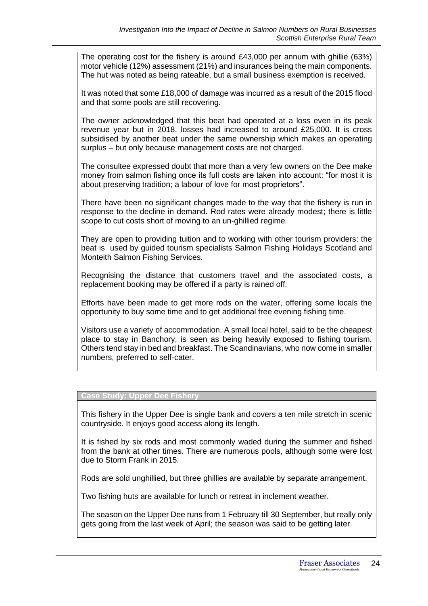The operating cost for the fishery is around £43,000 per annum with ghillie (63%) motor vehicle (12%) assessment (21%) and insurances being the main components. The hut was noted as being rateable, but a small business exemption is received.

It was noted that some £18,000 of damage was incurred as a result of the 2015 flood and that some pools are still recovering.

The owner acknowledged that this beat had operated at a loss even in its peak revenue year but in 2018, losses had increased to around £25,000. It is cross subsidised by another beat under the same ownership which makes an operating surplus – but only because management costs are not charged.

The consultee expressed doubt that more than a very few owners on the Dee make money from salmon fishing once its full costs are taken into account: "for most it is about preserving tradition; a labour of love for most proprietors".

There have been no significant changes made to the way that the fishery is run in response to the decline in demand. Rod rates were already modest; there is little scope to cut costs short of moving to an un-ghillied regime.

They are open to providing tuition and to working with other tourism providers: the beat is used by guided tourism specialists Salmon Fishing Holidays Scotland and Monteith Salmon Fishing Services.

Recognising the distance that customers travel and the associated costs, a replacement booking may be offered if a party is rained off.

Efforts have been made to get more rods on the water, offering some locals the opportunity to buy some time and to get additional free evening fishing time.

Visitors use a variety of accommodation. A small local hotel, said to be the cheapest place to stay in Banchory, is seen as being heavily exposed to fishing tourism. Others tend stay in bed and breakfast. The Scandinavians, who now come in smaller numbers, preferred to self-cater.

#### **Case Study: Upper Dee Fishery**

This fishery in the Upper Dee is single bank and covers a ten mile stretch in scenic countryside. It enjoys good access along its length.

It is fished by six rods and most commonly waded during the summer and fished from the bank at other times. There are numerous pools, although some were lost due to Storm Frank in 2015.

Rods are sold unghillied, but three ghillies are available by separate arrangement.

Two fishing huts are available for lunch or retreat in inclement weather.

The season on the Upper Dee runs from 1 February till 30 September, but really only gets going from the last week of April; the season was said to be getting later.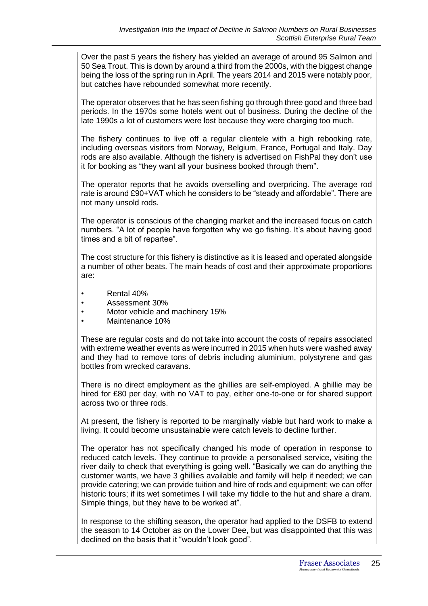Over the past 5 years the fishery has yielded an average of around 95 Salmon and 50 Sea Trout. This is down by around a third from the 2000s, with the biggest change being the loss of the spring run in April. The years 2014 and 2015 were notably poor, but catches have rebounded somewhat more recently.

The operator observes that he has seen fishing go through three good and three bad periods. In the 1970s some hotels went out of business. During the decline of the late 1990s a lot of customers were lost because they were charging too much.

The fishery continues to live off a regular clientele with a high rebooking rate, including overseas visitors from Norway, Belgium, France, Portugal and Italy. Day rods are also available. Although the fishery is advertised on FishPal they don't use it for booking as "they want all your business booked through them".

The operator reports that he avoids overselling and overpricing. The average rod rate is around £90+VAT which he considers to be "steady and affordable". There are not many unsold rods.

The operator is conscious of the changing market and the increased focus on catch numbers. "A lot of people have forgotten why we go fishing. It's about having good times and a bit of repartee".

The cost structure for this fishery is distinctive as it is leased and operated alongside a number of other beats. The main heads of cost and their approximate proportions are:

- Rental 40%
- Assessment 30%
- Motor vehicle and machinery 15%
- Maintenance 10%

These are regular costs and do not take into account the costs of repairs associated with extreme weather events as were incurred in 2015 when huts were washed away and they had to remove tons of debris including aluminium, polystyrene and gas bottles from wrecked caravans.

There is no direct employment as the ghillies are self-employed. A ghillie may be hired for £80 per day, with no VAT to pay, either one-to-one or for shared support across two or three rods.

At present, the fishery is reported to be marginally viable but hard work to make a living. It could become unsustainable were catch levels to decline further.

The operator has not specifically changed his mode of operation in response to reduced catch levels. They continue to provide a personalised service, visiting the river daily to check that everything is going well. "Basically we can do anything the customer wants, we have 3 ghillies available and family will help if needed; we can provide catering; we can provide tuition and hire of rods and equipment; we can offer historic tours; if its wet sometimes I will take my fiddle to the hut and share a dram. Simple things, but they have to be worked at".

In response to the shifting season, the operator had applied to the DSFB to extend the season to 14 October as on the Lower Dee, but was disappointed that this was declined on the basis that it "wouldn't look good".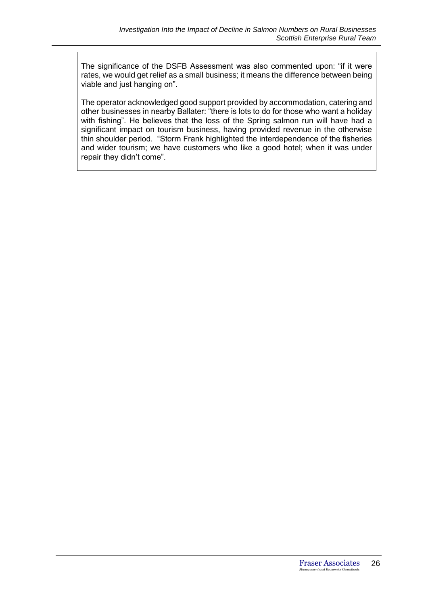The significance of the DSFB Assessment was also commented upon: "if it were rates, we would get relief as a small business; it means the difference between being viable and just hanging on".

The operator acknowledged good support provided by accommodation, catering and other businesses in nearby Ballater: "there is lots to do for those who want a holiday with fishing". He believes that the loss of the Spring salmon run will have had a significant impact on tourism business, having provided revenue in the otherwise thin shoulder period. "Storm Frank highlighted the interdependence of the fisheries and wider tourism; we have customers who like a good hotel; when it was under repair they didn't come".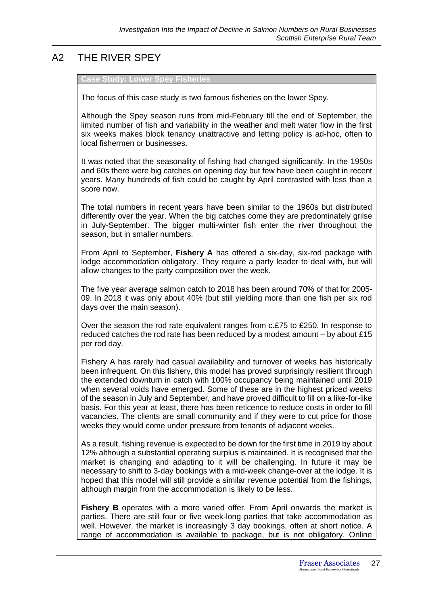# A2 THE RIVER SPEY

#### **Study: Lower Spey Fisheries**

The focus of this case study is two famous fisheries on the lower Spey.

Although the Spey season runs from mid-February till the end of September, the limited number of fish and variability in the weather and melt water flow in the first six weeks makes block tenancy unattractive and letting policy is ad-hoc, often to local fishermen or businesses.

It was noted that the seasonality of fishing had changed significantly. In the 1950s and 60s there were big catches on opening day but few have been caught in recent years. Many hundreds of fish could be caught by April contrasted with less than a score now.

The total numbers in recent years have been similar to the 1960s but distributed differently over the year. When the big catches come they are predominately grilse in July-September. The bigger multi-winter fish enter the river throughout the season, but in smaller numbers.

From April to September, **Fishery A** has offered a six-day, six-rod package with lodge accommodation obligatory. They require a party leader to deal with, but will allow changes to the party composition over the week.

The five year average salmon catch to 2018 has been around 70% of that for 2005- 09. In 2018 it was only about 40% (but still yielding more than one fish per six rod days over the main season).

Over the season the rod rate equivalent ranges from c.£75 to £250. In response to reduced catches the rod rate has been reduced by a modest amount – by about £15 per rod day.

Fishery A has rarely had casual availability and turnover of weeks has historically been infrequent. On this fishery, this model has proved surprisingly resilient through the extended downturn in catch with 100% occupancy being maintained until 2019 when several voids have emerged. Some of these are in the highest priced weeks of the season in July and September, and have proved difficult to fill on a like-for-like basis. For this year at least, there has been reticence to reduce costs in order to fill vacancies. The clients are small community and if they were to cut price for those weeks they would come under pressure from tenants of adjacent weeks.

As a result, fishing revenue is expected to be down for the first time in 2019 by about 12% although a substantial operating surplus is maintained. It is recognised that the market is changing and adapting to it will be challenging. In future it may be necessary to shift to 3-day bookings with a mid-week change-over at the lodge. It is hoped that this model will still provide a similar revenue potential from the fishings, although margin from the accommodation is likely to be less.

**Fishery B** operates with a more varied offer. From April onwards the market is parties. There are still four or five week-long parties that take accommodation as well. However, the market is increasingly 3 day bookings, often at short notice. A range of accommodation is available to package, but is not obligatory. Online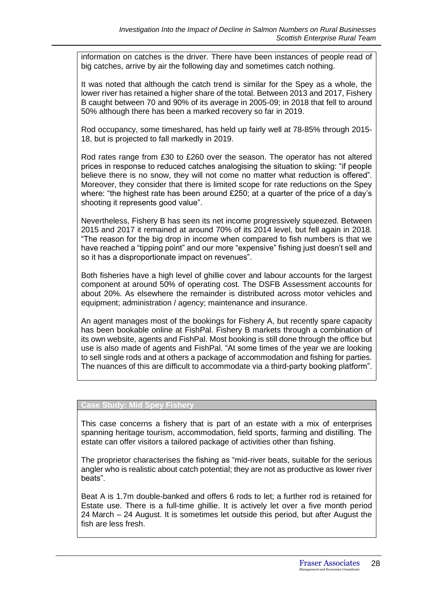information on catches is the driver. There have been instances of people read of big catches, arrive by air the following day and sometimes catch nothing.

It was noted that although the catch trend is similar for the Spey as a whole, the lower river has retained a higher share of the total. Between 2013 and 2017, Fishery B caught between 70 and 90% of its average in 2005-09; in 2018 that fell to around 50% although there has been a marked recovery so far in 2019.

Rod occupancy, some timeshared, has held up fairly well at 78-85% through 2015- 18, but is projected to fall markedly in 2019.

Rod rates range from £30 to £260 over the season. The operator has not altered prices in response to reduced catches analogising the situation to skiing: "if people believe there is no snow, they will not come no matter what reduction is offered". Moreover, they consider that there is limited scope for rate reductions on the Spey where: "the highest rate has been around £250; at a quarter of the price of a day's shooting it represents good value".

Nevertheless, Fishery B has seen its net income progressively squeezed. Between 2015 and 2017 it remained at around 70% of its 2014 level, but fell again in 2018. "The reason for the big drop in income when compared to fish numbers is that we have reached a "tipping point" and our more "expensive" fishing just doesn't sell and so it has a disproportionate impact on revenues".

Both fisheries have a high level of ghillie cover and labour accounts for the largest component at around 50% of operating cost. The DSFB Assessment accounts for about 20%. As elsewhere the remainder is distributed across motor vehicles and equipment; administration / agency; maintenance and insurance.

An agent manages most of the bookings for Fishery A, but recently spare capacity has been bookable online at FishPal. Fishery B markets through a combination of its own website, agents and FishPal. Most booking is still done through the office but use is also made of agents and FishPal. "At some times of the year we are looking to sell single rods and at others a package of accommodation and fishing for parties. The nuances of this are difficult to accommodate via a third-party booking platform".

#### **Case Study: Mid Spey Fishery**

This case concerns a fishery that is part of an estate with a mix of enterprises spanning heritage tourism, accommodation, field sports, farming and distilling. The estate can offer visitors a tailored package of activities other than fishing.

The proprietor characterises the fishing as "mid-river beats, suitable for the serious angler who is realistic about catch potential; they are not as productive as lower river beats".

Beat A is 1.7m double-banked and offers 6 rods to let; a further rod is retained for Estate use. There is a full-time ghillie. It is actively let over a five month period 24 March – 24 August. It is sometimes let outside this period, but after August the fish are less fresh.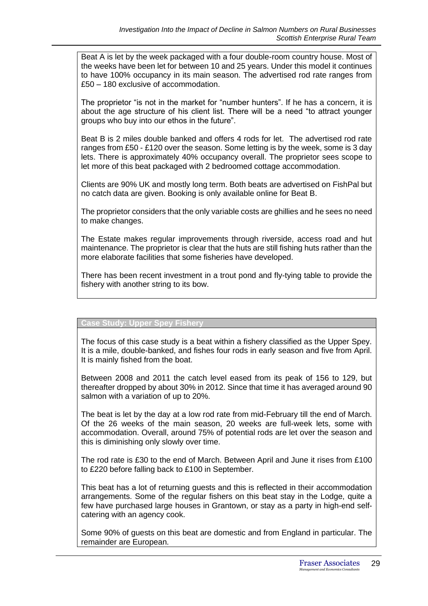Beat A is let by the week packaged with a four double-room country house. Most of the weeks have been let for between 10 and 25 years. Under this model it continues to have 100% occupancy in its main season. The advertised rod rate ranges from £50 – 180 exclusive of accommodation.

The proprietor "is not in the market for "number hunters". If he has a concern, it is about the age structure of his client list. There will be a need "to attract younger groups who buy into our ethos in the future".

Beat B is 2 miles double banked and offers 4 rods for let. The advertised rod rate ranges from £50 - £120 over the season. Some letting is by the week, some is 3 day lets. There is approximately 40% occupancy overall. The proprietor sees scope to let more of this beat packaged with 2 bedroomed cottage accommodation.

Clients are 90% UK and mostly long term. Both beats are advertised on FishPal but no catch data are given. Booking is only available online for Beat B.

The proprietor considers that the only variable costs are ghillies and he sees no need to make changes.

The Estate makes regular improvements through riverside, access road and hut maintenance. The proprietor is clear that the huts are still fishing huts rather than the more elaborate facilities that some fisheries have developed.

There has been recent investment in a trout pond and fly-tying table to provide the fishery with another string to its bow.

#### **Case Study: Upper Spey Fishery**

The focus of this case study is a beat within a fishery classified as the Upper Spey. It is a mile, double-banked, and fishes four rods in early season and five from April. It is mainly fished from the boat.

Between 2008 and 2011 the catch level eased from its peak of 156 to 129, but thereafter dropped by about 30% in 2012. Since that time it has averaged around 90 salmon with a variation of up to 20%.

The beat is let by the day at a low rod rate from mid-February till the end of March. Of the 26 weeks of the main season, 20 weeks are full-week lets, some with accommodation. Overall, around 75% of potential rods are let over the season and this is diminishing only slowly over time.

The rod rate is £30 to the end of March. Between April and June it rises from £100 to £220 before falling back to £100 in September.

This beat has a lot of returning guests and this is reflected in their accommodation arrangements. Some of the regular fishers on this beat stay in the Lodge, quite a few have purchased large houses in Grantown, or stay as a party in high-end selfcatering with an agency cook.

Some 90% of guests on this beat are domestic and from England in particular. The remainder are European.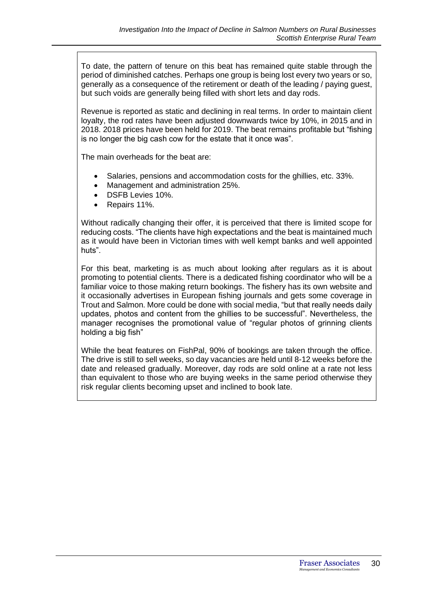To date, the pattern of tenure on this beat has remained quite stable through the period of diminished catches. Perhaps one group is being lost every two years or so, generally as a consequence of the retirement or death of the leading / paying guest, but such voids are generally being filled with short lets and day rods.

Revenue is reported as static and declining in real terms. In order to maintain client loyalty, the rod rates have been adjusted downwards twice by 10%, in 2015 and in 2018. 2018 prices have been held for 2019. The beat remains profitable but "fishing is no longer the big cash cow for the estate that it once was".

The main overheads for the beat are:

- Salaries, pensions and accommodation costs for the ghillies, etc. 33%.
- Management and administration 25%.
- DSFB Levies 10%.
- Repairs 11%.

Without radically changing their offer, it is perceived that there is limited scope for reducing costs. "The clients have high expectations and the beat is maintained much as it would have been in Victorian times with well kempt banks and well appointed huts".

For this beat, marketing is as much about looking after regulars as it is about promoting to potential clients. There is a dedicated fishing coordinator who will be a familiar voice to those making return bookings. The fishery has its own website and it occasionally advertises in European fishing journals and gets some coverage in Trout and Salmon. More could be done with social media, "but that really needs daily updates, photos and content from the ghillies to be successful". Nevertheless, the manager recognises the promotional value of "regular photos of grinning clients holding a big fish"

While the beat features on FishPal, 90% of bookings are taken through the office. The drive is still to sell weeks, so day vacancies are held until 8-12 weeks before the date and released gradually. Moreover, day rods are sold online at a rate not less than equivalent to those who are buying weeks in the same period otherwise they risk regular clients becoming upset and inclined to book late.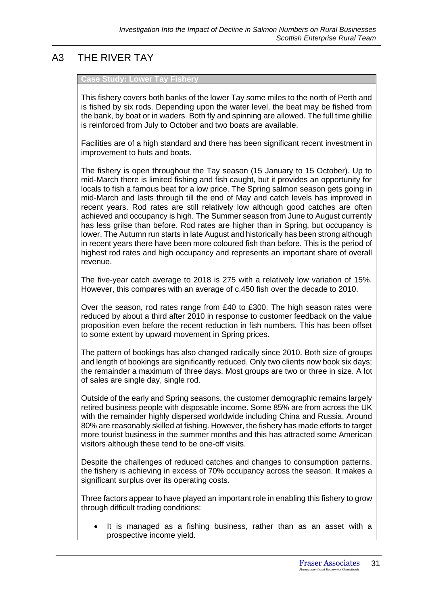# A3 THE RIVER TAY

#### **Case Study: Lower Tay Fishery**

This fishery covers both banks of the lower Tay some miles to the north of Perth and is fished by six rods. Depending upon the water level, the beat may be fished from the bank, by boat or in waders. Both fly and spinning are allowed. The full time ghillie is reinforced from July to October and two boats are available.

Facilities are of a high standard and there has been significant recent investment in improvement to huts and boats.

The fishery is open throughout the Tay season (15 January to 15 October). Up to mid-March there is limited fishing and fish caught, but it provides an opportunity for locals to fish a famous beat for a low price. The Spring salmon season gets going in mid-March and lasts through till the end of May and catch levels has improved in recent years. Rod rates are still relatively low although good catches are often achieved and occupancy is high. The Summer season from June to August currently has less grilse than before. Rod rates are higher than in Spring, but occupancy is lower. The Autumn run starts in late August and historically has been strong although in recent years there have been more coloured fish than before. This is the period of highest rod rates and high occupancy and represents an important share of overall revenue.

The five-year catch average to 2018 is 275 with a relatively low variation of 15%. However, this compares with an average of c.450 fish over the decade to 2010.

Over the season, rod rates range from £40 to £300. The high season rates were reduced by about a third after 2010 in response to customer feedback on the value proposition even before the recent reduction in fish numbers. This has been offset to some extent by upward movement in Spring prices.

The pattern of bookings has also changed radically since 2010. Both size of groups and length of bookings are significantly reduced. Only two clients now book six days; the remainder a maximum of three days. Most groups are two or three in size. A lot of sales are single day, single rod.

Outside of the early and Spring seasons, the customer demographic remains largely retired business people with disposable income. Some 85% are from across the UK with the remainder highly dispersed worldwide including China and Russia. Around 80% are reasonably skilled at fishing. However, the fishery has made efforts to target more tourist business in the summer months and this has attracted some American visitors although these tend to be one-off visits.

Despite the challenges of reduced catches and changes to consumption patterns, the fishery is achieving in excess of 70% occupancy across the season. It makes a significant surplus over its operating costs.

Three factors appear to have played an important role in enabling this fishery to grow through difficult trading conditions:

It is managed as a fishing business, rather than as an asset with a prospective income yield.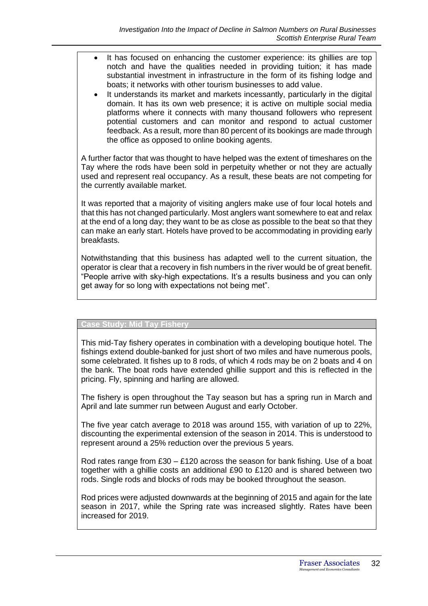- It has focused on enhancing the customer experience: its ghillies are top notch and have the qualities needed in providing tuition; it has made substantial investment in infrastructure in the form of its fishing lodge and boats; it networks with other tourism businesses to add value.
- It understands its market and markets incessantly, particularly in the digital domain. It has its own web presence; it is active on multiple social media platforms where it connects with many thousand followers who represent potential customers and can monitor and respond to actual customer feedback. As a result, more than 80 percent of its bookings are made through the office as opposed to online booking agents.

A further factor that was thought to have helped was the extent of timeshares on the Tay where the rods have been sold in perpetuity whether or not they are actually used and represent real occupancy. As a result, these beats are not competing for the currently available market.

It was reported that a majority of visiting anglers make use of four local hotels and that this has not changed particularly. Most anglers want somewhere to eat and relax at the end of a long day; they want to be as close as possible to the beat so that they can make an early start. Hotels have proved to be accommodating in providing early breakfasts.

Notwithstanding that this business has adapted well to the current situation, the operator is clear that a recovery in fish numbers in the river would be of great benefit. "People arrive with sky-high expectations. It's a results business and you can only get away for so long with expectations not being met".

#### **Case Study: Mid Tay Fishery**

This mid-Tay fishery operates in combination with a developing boutique hotel. The fishings extend double-banked for just short of two miles and have numerous pools, some celebrated. It fishes up to 8 rods, of which 4 rods may be on 2 boats and 4 on the bank. The boat rods have extended ghillie support and this is reflected in the pricing. Fly, spinning and harling are allowed.

The fishery is open throughout the Tay season but has a spring run in March and April and late summer run between August and early October.

The five year catch average to 2018 was around 155, with variation of up to 22%, discounting the experimental extension of the season in 2014. This is understood to represent around a 25% reduction over the previous 5 years.

Rod rates range from £30 – £120 across the season for bank fishing. Use of a boat together with a ghillie costs an additional £90 to £120 and is shared between two rods. Single rods and blocks of rods may be booked throughout the season.

Rod prices were adjusted downwards at the beginning of 2015 and again for the late season in 2017, while the Spring rate was increased slightly. Rates have been increased for 2019.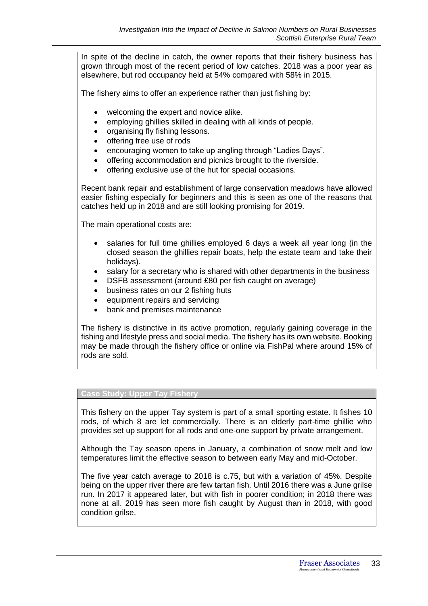In spite of the decline in catch, the owner reports that their fishery business has grown through most of the recent period of low catches. 2018 was a poor year as elsewhere, but rod occupancy held at 54% compared with 58% in 2015.

The fishery aims to offer an experience rather than just fishing by:

- welcoming the expert and novice alike.
- employing ghillies skilled in dealing with all kinds of people.
- organising fly fishing lessons.
- offering free use of rods
- encouraging women to take up angling through "Ladies Days".
- offering accommodation and picnics brought to the riverside.
- offering exclusive use of the hut for special occasions.

Recent bank repair and establishment of large conservation meadows have allowed easier fishing especially for beginners and this is seen as one of the reasons that catches held up in 2018 and are still looking promising for 2019.

The main operational costs are:

- salaries for full time ghillies employed 6 days a week all year long (in the closed season the ghillies repair boats, help the estate team and take their holidays).
- salary for a secretary who is shared with other departments in the business
- DSFB assessment (around £80 per fish caught on average)
- business rates on our 2 fishing huts
- equipment repairs and servicing
- bank and premises maintenance

The fishery is distinctive in its active promotion, regularly gaining coverage in the fishing and lifestyle press and social media. The fishery has its own website. Booking may be made through the fishery office or online via FishPal where around 15% of rods are sold.

#### **Case Study: Upper Tay Fishery**

This fishery on the upper Tay system is part of a small sporting estate. It fishes 10 rods, of which 8 are let commercially. There is an elderly part-time ghillie who provides set up support for all rods and one-one support by private arrangement.

Although the Tay season opens in January, a combination of snow melt and low temperatures limit the effective season to between early May and mid-October.

The five year catch average to 2018 is c.75, but with a variation of 45%. Despite being on the upper river there are few tartan fish. Until 2016 there was a June grilse run. In 2017 it appeared later, but with fish in poorer condition; in 2018 there was none at all. 2019 has seen more fish caught by August than in 2018, with good condition grilse.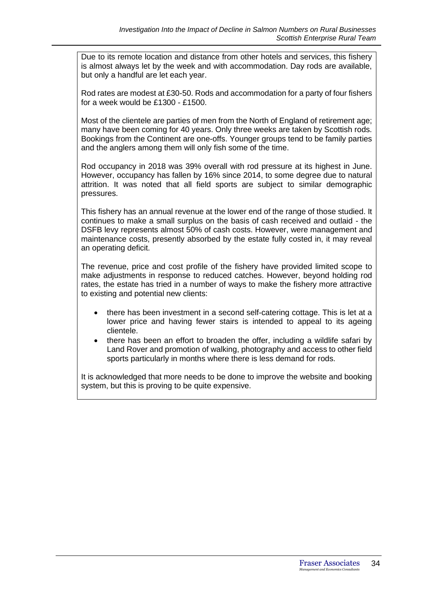Due to its remote location and distance from other hotels and services, this fishery is almost always let by the week and with accommodation. Day rods are available, but only a handful are let each year.

Rod rates are modest at £30-50. Rods and accommodation for a party of four fishers for a week would be £1300 - £1500.

Most of the clientele are parties of men from the North of England of retirement age; many have been coming for 40 years. Only three weeks are taken by Scottish rods. Bookings from the Continent are one-offs. Younger groups tend to be family parties and the anglers among them will only fish some of the time.

Rod occupancy in 2018 was 39% overall with rod pressure at its highest in June. However, occupancy has fallen by 16% since 2014, to some degree due to natural attrition. It was noted that all field sports are subject to similar demographic pressures.

This fishery has an annual revenue at the lower end of the range of those studied. It continues to make a small surplus on the basis of cash received and outlaid - the DSFB levy represents almost 50% of cash costs. However, were management and maintenance costs, presently absorbed by the estate fully costed in, it may reveal an operating deficit.

The revenue, price and cost profile of the fishery have provided limited scope to make adjustments in response to reduced catches. However, beyond holding rod rates, the estate has tried in a number of ways to make the fishery more attractive to existing and potential new clients:

- there has been investment in a second self-catering cottage. This is let at a lower price and having fewer stairs is intended to appeal to its ageing clientele.
- there has been an effort to broaden the offer, including a wildlife safari by Land Rover and promotion of walking, photography and access to other field sports particularly in months where there is less demand for rods.

It is acknowledged that more needs to be done to improve the website and booking system, but this is proving to be quite expensive.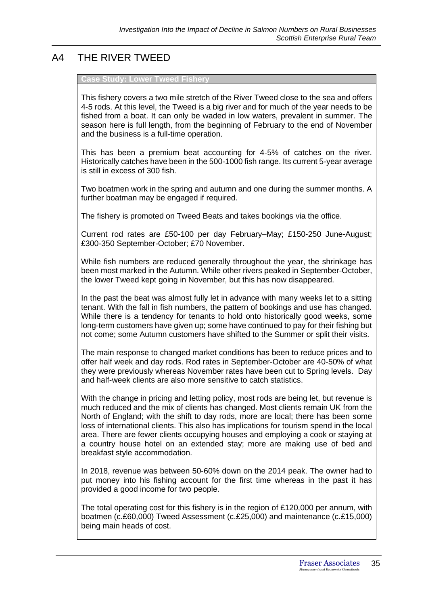# A4 THE RIVER TWEED

#### **Case Study: Lower Tweed Fishery**

This fishery covers a two mile stretch of the River Tweed close to the sea and offers 4-5 rods. At this level, the Tweed is a big river and for much of the year needs to be fished from a boat. It can only be waded in low waters, prevalent in summer. The season here is full length, from the beginning of February to the end of November and the business is a full-time operation.

This has been a premium beat accounting for 4-5% of catches on the river. Historically catches have been in the 500-1000 fish range. Its current 5-year average is still in excess of 300 fish.

Two boatmen work in the spring and autumn and one during the summer months. A further boatman may be engaged if required.

The fishery is promoted on Tweed Beats and takes bookings via the office.

Current rod rates are £50-100 per day February–May; £150-250 June-August; £300-350 September-October; £70 November.

While fish numbers are reduced generally throughout the year, the shrinkage has been most marked in the Autumn. While other rivers peaked in September-October, the lower Tweed kept going in November, but this has now disappeared.

In the past the beat was almost fully let in advance with many weeks let to a sitting tenant. With the fall in fish numbers, the pattern of bookings and use has changed. While there is a tendency for tenants to hold onto historically good weeks, some long-term customers have given up; some have continued to pay for their fishing but not come; some Autumn customers have shifted to the Summer or split their visits.

The main response to changed market conditions has been to reduce prices and to offer half week and day rods. Rod rates in September-October are 40-50% of what they were previously whereas November rates have been cut to Spring levels. Day and half-week clients are also more sensitive to catch statistics.

With the change in pricing and letting policy, most rods are being let, but revenue is much reduced and the mix of clients has changed. Most clients remain UK from the North of England; with the shift to day rods, more are local; there has been some loss of international clients. This also has implications for tourism spend in the local area. There are fewer clients occupying houses and employing a cook or staying at a country house hotel on an extended stay; more are making use of bed and breakfast style accommodation.

In 2018, revenue was between 50-60% down on the 2014 peak. The owner had to put money into his fishing account for the first time whereas in the past it has provided a good income for two people.

The total operating cost for this fishery is in the region of £120,000 per annum, with boatmen (c.£60,000) Tweed Assessment (c.£25,000) and maintenance (c.£15,000) being main heads of cost.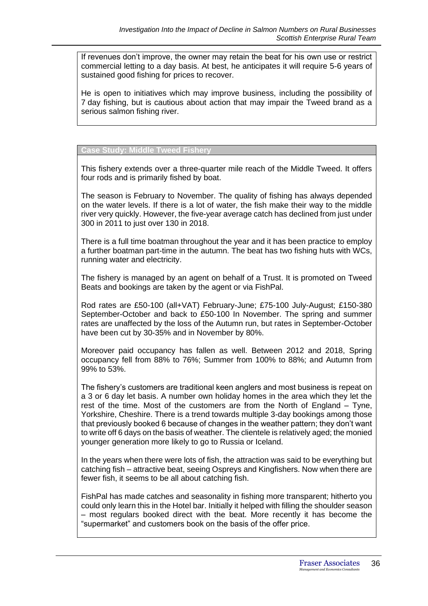If revenues don't improve, the owner may retain the beat for his own use or restrict commercial letting to a day basis. At best, he anticipates it will require 5-6 years of sustained good fishing for prices to recover.

He is open to initiatives which may improve business, including the possibility of 7 day fishing, but is cautious about action that may impair the Tweed brand as a serious salmon fishing river.

**Case Study: Middle Tweed Fishery**

This fishery extends over a three-quarter mile reach of the Middle Tweed. It offers four rods and is primarily fished by boat.

The season is February to November. The quality of fishing has always depended on the water levels. If there is a lot of water, the fish make their way to the middle river very quickly. However, the five-year average catch has declined from just under 300 in 2011 to just over 130 in 2018.

There is a full time boatman throughout the year and it has been practice to employ a further boatman part-time in the autumn. The beat has two fishing huts with WCs, running water and electricity.

The fishery is managed by an agent on behalf of a Trust. It is promoted on Tweed Beats and bookings are taken by the agent or via FishPal.

Rod rates are £50-100 (all+VAT) February-June; £75-100 July-August; £150-380 September-October and back to £50-100 In November. The spring and summer rates are unaffected by the loss of the Autumn run, but rates in September-October have been cut by 30-35% and in November by 80%.

Moreover paid occupancy has fallen as well. Between 2012 and 2018, Spring occupancy fell from 88% to 76%; Summer from 100% to 88%; and Autumn from 99% to 53%.

The fishery's customers are traditional keen anglers and most business is repeat on a 3 or 6 day let basis. A number own holiday homes in the area which they let the rest of the time. Most of the customers are from the North of England – Tyne, Yorkshire, Cheshire. There is a trend towards multiple 3-day bookings among those that previously booked 6 because of changes in the weather pattern; they don't want to write off 6 days on the basis of weather. The clientele is relatively aged; the monied younger generation more likely to go to Russia or Iceland.

In the years when there were lots of fish, the attraction was said to be everything but catching fish – attractive beat, seeing Ospreys and Kingfishers. Now when there are fewer fish, it seems to be all about catching fish.

FishPal has made catches and seasonality in fishing more transparent; hitherto you could only learn this in the Hotel bar. Initially it helped with filling the shoulder season – most regulars booked direct with the beat. More recently it has become the "supermarket" and customers book on the basis of the offer price.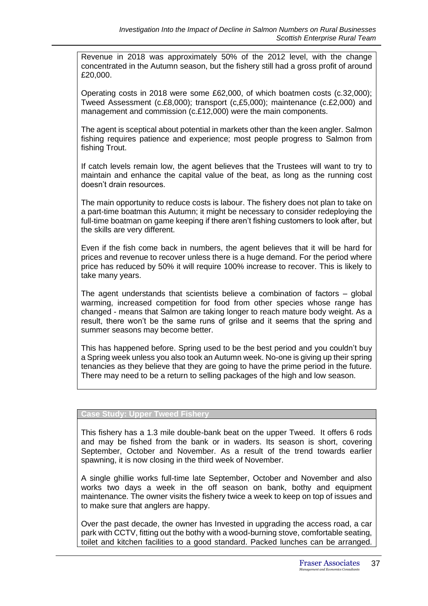Revenue in 2018 was approximately 50% of the 2012 level, with the change concentrated in the Autumn season, but the fishery still had a gross profit of around £20,000.

Operating costs in 2018 were some £62,000, of which boatmen costs (c.32,000); Tweed Assessment (c.£8,000); transport (c,£5,000); maintenance (c.£2,000) and management and commission (c.£12,000) were the main components.

The agent is sceptical about potential in markets other than the keen angler. Salmon fishing requires patience and experience; most people progress to Salmon from fishing Trout.

If catch levels remain low, the agent believes that the Trustees will want to try to maintain and enhance the capital value of the beat, as long as the running cost doesn't drain resources.

The main opportunity to reduce costs is labour. The fishery does not plan to take on a part-time boatman this Autumn; it might be necessary to consider redeploying the full-time boatman on game keeping if there aren't fishing customers to look after, but the skills are very different.

Even if the fish come back in numbers, the agent believes that it will be hard for prices and revenue to recover unless there is a huge demand. For the period where price has reduced by 50% it will require 100% increase to recover. This is likely to take many years.

The agent understands that scientists believe a combination of factors – global warming, increased competition for food from other species whose range has changed - means that Salmon are taking longer to reach mature body weight. As a result, there won't be the same runs of grilse and it seems that the spring and summer seasons may become better.

This has happened before. Spring used to be the best period and you couldn't buy a Spring week unless you also took an Autumn week. No-one is giving up their spring tenancies as they believe that they are going to have the prime period in the future. There may need to be a return to selling packages of the high and low season.

#### **Case Study: Upper Tweed Fishery**

This fishery has a 1.3 mile double-bank beat on the upper Tweed. It offers 6 rods and may be fished from the bank or in waders. Its season is short, covering September, October and November. As a result of the trend towards earlier spawning, it is now closing in the third week of November.

A single ghillie works full-time late September, October and November and also works two days a week in the off season on bank, bothy and equipment maintenance. The owner visits the fishery twice a week to keep on top of issues and to make sure that anglers are happy.

Over the past decade, the owner has Invested in upgrading the access road, a car park with CCTV, fitting out the bothy with a wood-burning stove, comfortable seating, toilet and kitchen facilities to a good standard. Packed lunches can be arranged.